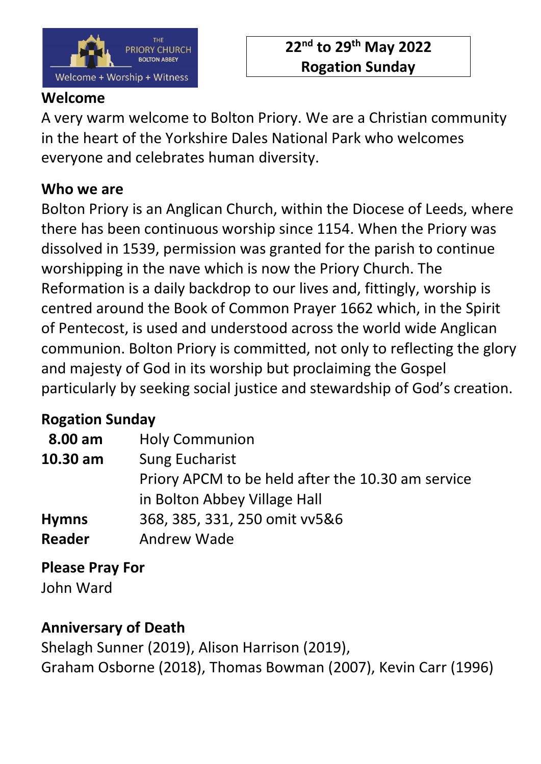

### **Welcome**

A very warm welcome to Bolton Priory. We are a Christian community in the heart of the Yorkshire Dales National Park who welcomes everyone and celebrates human diversity.

# **Who we are**

Bolton Priory is an Anglican Church, within the Diocese of Leeds, where there has been continuous worship since 1154. When the Priory was dissolved in 1539, permission was granted for the parish to continue worshipping in the nave which is now the Priory Church. The Reformation is a daily backdrop to our lives and, fittingly, worship is centred around the Book of Common Prayer 1662 which, in the Spirit of Pentecost, is used and understood across the world wide Anglican communion. Bolton Priory is committed, not only to reflecting the glory and majesty of God in its worship but proclaiming the Gospel particularly by seeking social justice and stewardship of God's creation.

# **Rogation Sunday**

| 8.00 am       | <b>Holy Communion</b>                             |
|---------------|---------------------------------------------------|
| 10.30 am      | <b>Sung Eucharist</b>                             |
|               | Priory APCM to be held after the 10.30 am service |
|               | in Bolton Abbey Village Hall                      |
| <b>Hymns</b>  | 368, 385, 331, 250 omit vv5&6                     |
| <b>Reader</b> | Andrew Wade                                       |

**Please Pray For**

John Ward

# **Anniversary of Death**

Shelagh Sunner (2019), Alison Harrison (2019), Graham Osborne (2018), Thomas Bowman (2007), Kevin Carr (1996)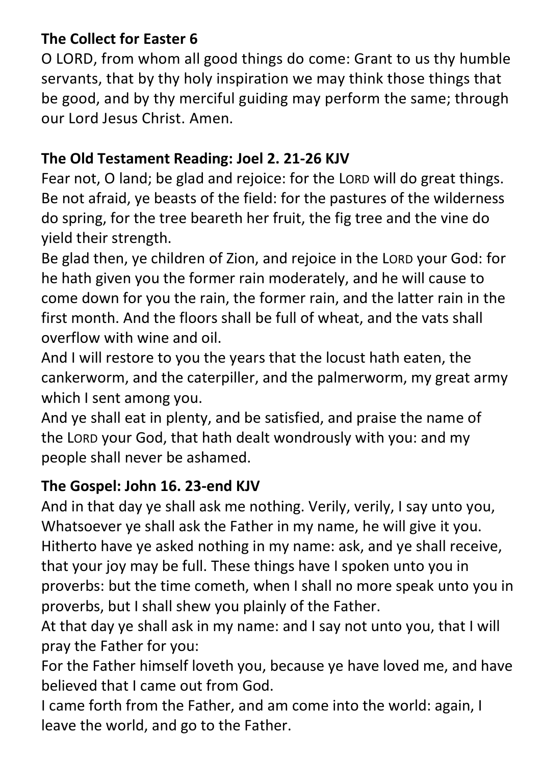# **The Collect for Easter 6**

O LORD, from whom all good things do come: Grant to us thy humble servants, that by thy holy inspiration we may think those things that be good, and by thy merciful guiding may perform the same; through our Lord Jesus Christ. Amen.

# **The Old Testament Reading: Joel 2. 21-26 KJV**

Fear not, O land; be glad and rejoice: for the LORD will do great things. Be not afraid, ye beasts of the field: for the pastures of the wilderness do spring, for the tree beareth her fruit, the fig tree and the vine do yield their strength.

Be glad then, ye children of Zion, and rejoice in the LORD your God: for he hath given you the former rain moderately, and he will cause to come down for you the rain, the former rain, and the latter rain in the first month. And the floors shall be full of wheat, and the vats shall overflow with wine and oil.

And I will restore to you the years that the locust hath eaten, the cankerworm, and the caterpiller, and the palmerworm, my great army which I sent among you.

And ye shall eat in plenty, and be satisfied, and praise the name of the LORD your God, that hath dealt wondrously with you: and my people shall never be ashamed.

# **The Gospel: John 16. 23-end KJV**

And in that day ye shall ask me nothing. Verily, verily, I say unto you, Whatsoever ye shall ask the Father in my name, he will give it you. Hitherto have ye asked nothing in my name: ask, and ye shall receive, that your joy may be full. These things have I spoken unto you in proverbs: but the time cometh, when I shall no more speak unto you in proverbs, but I shall shew you plainly of the Father.

At that day ye shall ask in my name: and I say not unto you, that I will pray the Father for you:

For the Father himself loveth you, because ye have loved me, and have believed that I came out from God.

I came forth from the Father, and am come into the world: again, I leave the world, and go to the Father.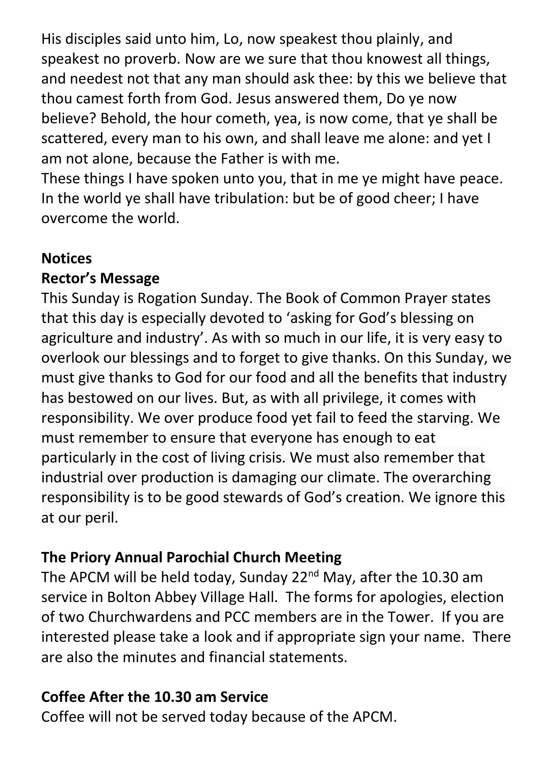His disciples said unto him, Lo, now speakest thou plainly, and speakest no proverb. Now are we sure that thou knowest all things, and needest not that any man should ask thee: by this we believe that thou camest forth from God. Jesus answered them, Do ye now believe? Behold, the hour cometh, yea, is now come, that ye shall be scattered, every man to his own, and shall leave me alone: and yet I am not alone, because the Father is with me.

These things I have spoken unto you, that in me ye might have peace. In the world ye shall have tribulation: but be of good cheer; I have overcome the world.

# **Notices**

#### **Rector's Message**

This Sunday is Rogation Sunday. The Book of Common Prayer states that this day is especially devoted to 'asking for God's blessing on agriculture and industry'. As with so much in our life, it is very easy to overlook our blessings and to forget to give thanks. On this Sunday, we must give thanks to God for our food and all the benefits that industry has bestowed on our lives. But, as with all privilege, it comes with responsibility. We over produce food yet fail to feed the starving. We must remember to ensure that everyone has enough to eat particularly in the cost of living crisis. We must also remember that industrial over production is damaging our climate. The overarching responsibility is to be good stewards of God's creation. We ignore this at our peril.

#### **The Priory Annual Parochial Church Meeting**

The APCM will be held today, Sunday 22<sup>nd</sup> May, after the 10.30 am service in Bolton Abbey Village Hall. The forms for apologies, election of two Churchwardens and PCC members are in the Tower. If you are interested please take a look and if appropriate sign your name. There are also the minutes and financial statements.

# **Coffee After the 10.30 am Service**

Coffee will not be served today because of the APCM.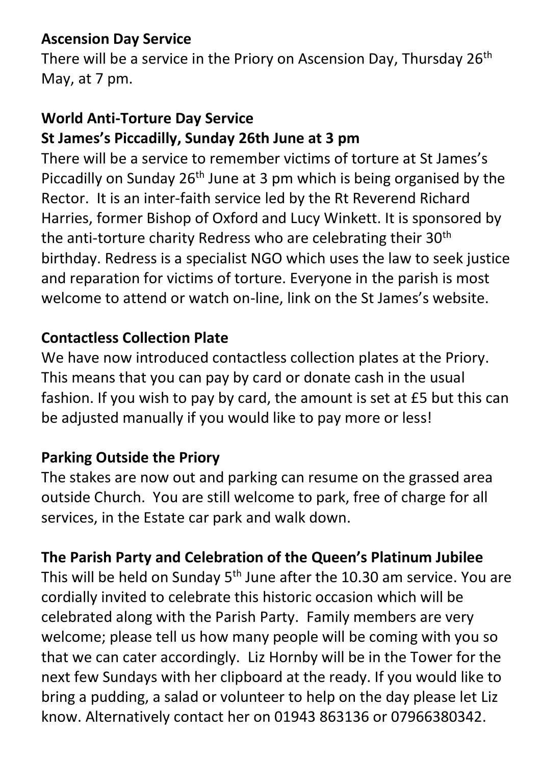# **Ascension Day Service**

There will be a service in the Priory on Ascension Day, Thursday 26<sup>th</sup> May, at 7 pm.

# **World Anti-Torture Day Service St James's Piccadilly, Sunday 26th June at 3 pm**

There will be a service to remember victims of torture at St James's Piccadilly on Sunday  $26<sup>th</sup>$  June at 3 pm which is being organised by the Rector. It is an inter-faith service led by the Rt Reverend Richard Harries, former Bishop of Oxford and Lucy Winkett. It is sponsored by the anti-torture charity Redress who are celebrating their 30<sup>th</sup> birthday. Redress is a specialist NGO which uses the law to seek justice and reparation for victims of torture. Everyone in the parish is most welcome to attend or watch on-line, link on the St James's website.

# **Contactless Collection Plate**

We have now introduced contactless collection plates at the Priory. This means that you can pay by card or donate cash in the usual fashion. If you wish to pay by card, the amount is set at £5 but this can be adjusted manually if you would like to pay more or less!

#### **Parking Outside the Priory**

The stakes are now out and parking can resume on the grassed area outside Church. You are still welcome to park, free of charge for all services, in the Estate car park and walk down.

# **The Parish Party and Celebration of the Queen's Platinum Jubilee**

This will be held on Sunday  $5<sup>th</sup>$  June after the 10.30 am service. You are cordially invited to celebrate this historic occasion which will be celebrated along with the Parish Party. Family members are very welcome; please tell us how many people will be coming with you so that we can cater accordingly. Liz Hornby will be in the Tower for the next few Sundays with her clipboard at the ready. If you would like to bring a pudding, a salad or volunteer to help on the day please let Liz know. Alternatively contact her on 01943 863136 or 07966380342.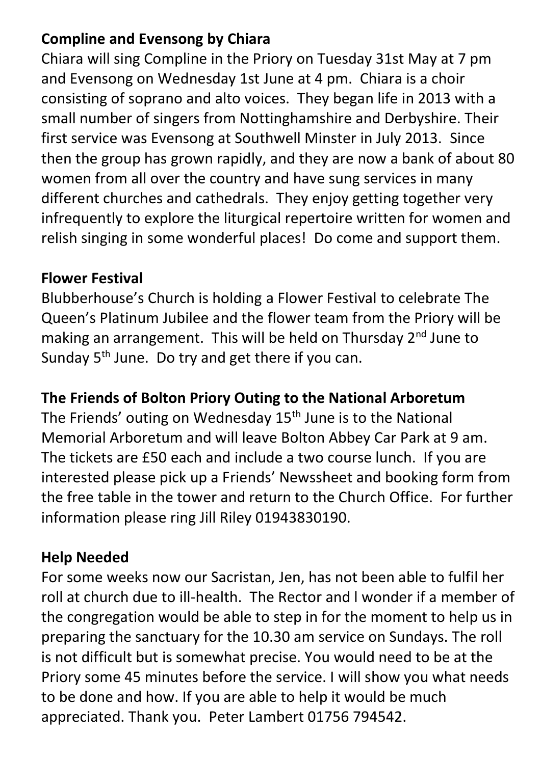# **Compline and Evensong by Chiara**

Chiara will sing Compline in the Priory on Tuesday 31st May at 7 pm and Evensong on Wednesday 1st June at 4 pm. Chiara is a choir consisting of soprano and alto voices. They began life in 2013 with a small number of singers from Nottinghamshire and Derbyshire. Their first service was Evensong at Southwell Minster in July 2013. Since then the group has grown rapidly, and they are now a bank of about 80 women from all over the country and have sung services in many different churches and cathedrals. They enjoy getting together very infrequently to explore the liturgical repertoire written for women and relish singing in some wonderful places! Do come and support them.

### **Flower Festival**

Blubberhouse's Church is holding a Flower Festival to celebrate The Queen's Platinum Jubilee and the flower team from the Priory will be making an arrangement. This will be held on Thursday 2<sup>nd</sup> June to Sunday  $5<sup>th</sup>$  June. Do try and get there if you can.

# **The Friends of Bolton Priory Outing to the National Arboretum**

The Friends' outing on Wednesday 15<sup>th</sup> June is to the National Memorial Arboretum and will leave Bolton Abbey Car Park at 9 am. The tickets are £50 each and include a two course lunch. If you are interested please pick up a Friends' Newssheet and booking form from the free table in the tower and return to the Church Office. For further information please ring Jill Riley 01943830190.

# **Help Needed**

For some weeks now our Sacristan, Jen, has not been able to fulfil her roll at church due to ill-health. The Rector and l wonder if a member of the congregation would be able to step in for the moment to help us in preparing the sanctuary for the 10.30 am service on Sundays. The roll is not difficult but is somewhat precise. You would need to be at the Priory some 45 minutes before the service. I will show you what needs to be done and how. If you are able to help it would be much appreciated. Thank you. Peter Lambert 01756 794542.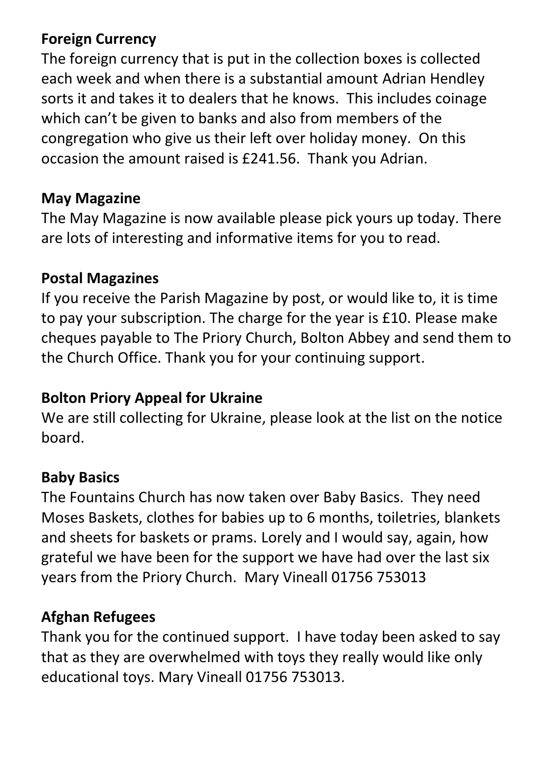# **Foreign Currency**

The foreign currency that is put in the collection boxes is collected each week and when there is a substantial amount Adrian Hendley sorts it and takes it to dealers that he knows. This includes coinage which can't be given to banks and also from members of the congregation who give us their left over holiday money. On this occasion the amount raised is £241.56. Thank you Adrian.

### **May Magazine**

The May Magazine is now available please pick yours up today. There are lots of interesting and informative items for you to read.

#### **Postal Magazines**

If you receive the Parish Magazine by post, or would like to, it is time to pay your subscription. The charge for the year is £10. Please make cheques payable to The Priory Church, Bolton Abbey and send them to the Church Office. Thank you for your continuing support.

#### **Bolton Priory Appeal for Ukraine**

We are still collecting for Ukraine, please look at the list on the notice board.

#### **Baby Basics**

The Fountains Church has now taken over Baby Basics. They need Moses Baskets, clothes for babies up to 6 months, toiletries, blankets and sheets for baskets or prams. Lorely and I would say, again, how grateful we have been for the support we have had over the last six years from the Priory Church. Mary Vineall 01756 753013

#### **Afghan Refugees**

Thank you for the continued support. I have today been asked to say that as they are overwhelmed with toys they really would like only educational toys. Mary Vineall 01756 753013.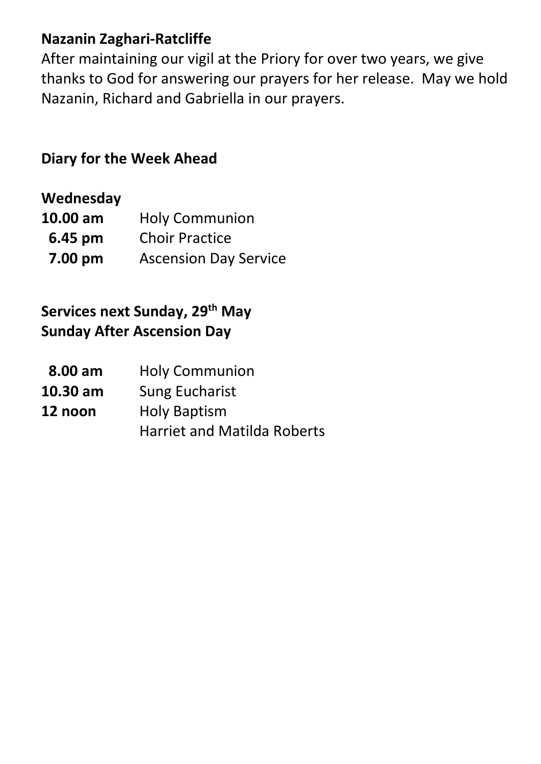## **Nazanin Zaghari-Ratcliffe**

After maintaining our vigil at the Priory for over two years, we give thanks to God for answering our prayers for her release. May we hold Nazanin, Richard and Gabriella in our prayers.

# **Diary for the Week Ahead**

#### **Wednesday**

| 10.00 am | <b>Holy Communion</b>        |
|----------|------------------------------|
| 6.45 pm  | <b>Choir Practice</b>        |
| 7.00 pm  | <b>Ascension Day Service</b> |

# **Services next Sunday, 29 th May Sunday After Ascension Day**

| 8.00 am    | <b>Holy Communion</b>              |
|------------|------------------------------------|
| $10.30$ am | <b>Sung Eucharist</b>              |
| 12 noon    | <b>Holy Baptism</b>                |
|            | <b>Harriet and Matilda Roberts</b> |